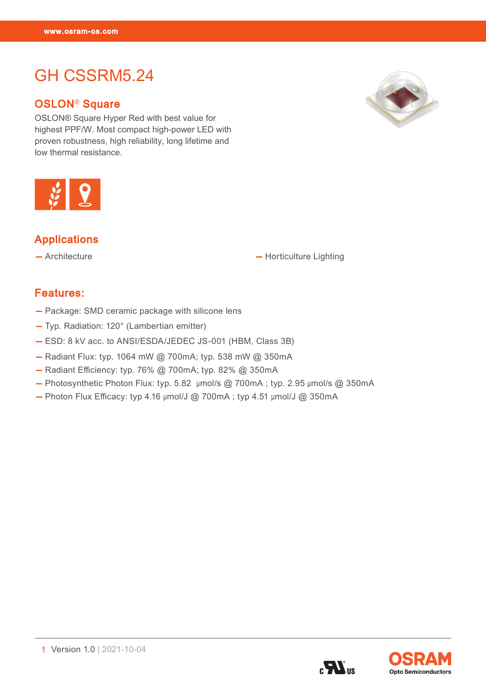GH CSSRM5.24 (2002)

# GH CSSRM5.24

#### OSLON® Square

OSLON® Square Hyper Red with best value for highest PPF/W. Most compact high-power LED with proven robustness, high reliability, long lifetime and low thermal resistance.





#### Applications

— Architecture — Norticulture Lighting

#### Features:

- Package: SMD ceramic package with silicone lens
- Typ. Radiation: 120° (Lambertian emitter)
- ESD: 8 kV acc. to ANSI/ESDA/JEDEC JS-001 (HBM, Class 3B)
- Radiant Flux: typ. 1064 mW @ 700mA; typ. 538 mW @ 350mA
- Radiant Efficiency: typ. 76% @ 700mA; typ. 82% @ 350mA
- $-$  Photosynthetic Photon Flux: typ. 5.82 µmol/s @ 700mA ; typ. 2.95 µmol/s @ 350mA
- $-$  Photon Flux Efficacy: typ 4.16  $\mu$ mol/J @ 700mA; typ 4.51  $\mu$ mol/J @ 350mA

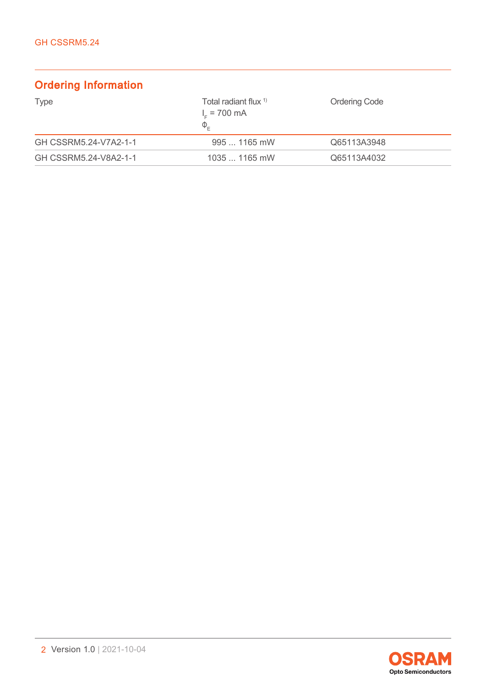## Ordering Information

| <b>Type</b>           | Total radiant flux $1$<br>$I_c$ = 700 mA<br>$\Phi_{\varepsilon}$ | <b>Ordering Code</b> |
|-----------------------|------------------------------------------------------------------|----------------------|
| GH CSSRM5.24-V7A2-1-1 | $9951165$ mW                                                     | Q65113A3948          |
| GH CSSRM5.24-V8A2-1-1 | $10351165$ mW                                                    | Q65113A4032          |

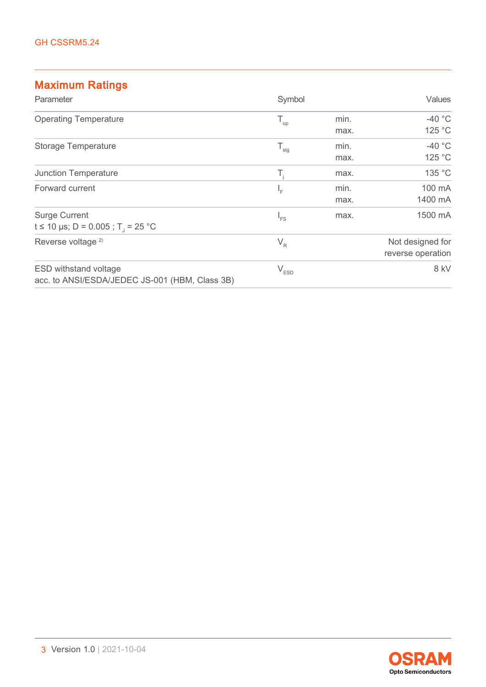## Maximum Ratings

| Parameter                                                                      | Symbol        |      | Values            |
|--------------------------------------------------------------------------------|---------------|------|-------------------|
| <b>Operating Temperature</b>                                                   | $T_{op}$      | min. | -40 $\degree$ C   |
|                                                                                |               | max. | 125 °C            |
| <b>Storage Temperature</b>                                                     | $T_{\rm stg}$ | min. | $-40$ °C          |
|                                                                                |               | max. | 125 °C            |
| <b>Junction Temperature</b>                                                    | Τ,            | max. | 135 °C            |
| Forward current                                                                | ١Ē            | min. | 100 mA            |
|                                                                                |               | max. | 1400 mA           |
| <b>Surge Current</b>                                                           | $I_{FS}$      | max. | 1500 mA           |
| t ≤ 10 µs; D = 0.005 ; T = 25 °C                                               |               |      |                   |
| Reverse voltage <sup>2)</sup>                                                  | $V_R$         |      | Not designed for  |
|                                                                                |               |      | reverse operation |
| <b>ESD withstand voltage</b><br>acc. to ANSI/ESDA/JEDEC JS-001 (HBM, Class 3B) | $V_{ESD}$     |      | 8 kV              |

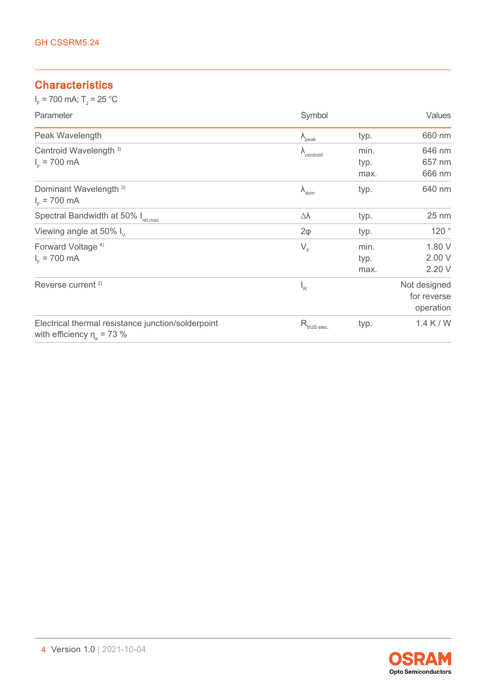### **Characteristics**

 $I_F$  = 700 mA; T<sub>J</sub> = 25 °C

| Parameter                                                                           | Symbol                        |      | Values                                   |
|-------------------------------------------------------------------------------------|-------------------------------|------|------------------------------------------|
| Peak Wavelength                                                                     | $\lambda_{\text{peak}}$       | typ. | 660 nm                                   |
| Centroid Wavelength <sup>3)</sup>                                                   | $\Lambda$ <sub>centroid</sub> | min. | 646 nm                                   |
| $I_{E}$ = 700 mA                                                                    |                               | typ. | 657 nm                                   |
|                                                                                     |                               | max. | 666 nm                                   |
| Dominant Wavelength <sup>3)</sup><br>$I_{E}$ = 700 mA                               | $\lambda_{\text{dom}}$        | typ. | 640 nm                                   |
| Spectral Bandwidth at 50% I <sub>rel,max</sub>                                      | Δλ                            | typ. | 25 nm                                    |
| Viewing angle at 50% $I_{v}$                                                        | $2\varphi$                    | typ. | 120°                                     |
| Forward Voltage <sup>4)</sup>                                                       | $V_F$                         | min. | 1.80 V                                   |
| $I_{E}$ = 700 mA                                                                    |                               | typ. | 2.00 V                                   |
|                                                                                     |                               | max. | 2.20 V                                   |
| Reverse current <sup>2)</sup>                                                       | $I_R$                         |      | Not designed<br>for reverse<br>operation |
| Electrical thermal resistance junction/solderpoint<br>with efficiency $\eta$ = 73 % | $R_{thJS elec.}$              | typ. | $1.4$ K / W                              |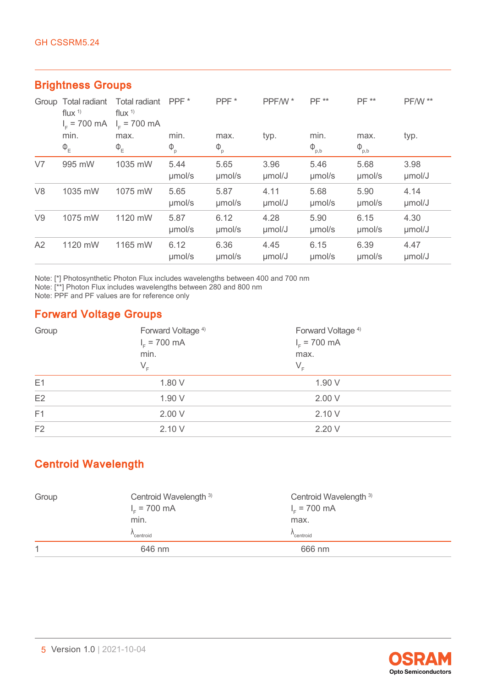|                | . . <b>. .</b>                                    |                                             |                  |                |                |                  |                |                |
|----------------|---------------------------------------------------|---------------------------------------------|------------------|----------------|----------------|------------------|----------------|----------------|
|                | Group Total radiant<br>flux $1$<br>$I_c = 700$ mA | Total radiant<br>flux $1$<br>$I_c = 700$ mA | PPF <sup>*</sup> | PPF*           | PPF/W*         | <b>PF **</b>     | PF **          | <b>PF/W **</b> |
|                | min.                                              | max.                                        | min.             | max.           | typ.           | min.             | max.           | typ.           |
|                | $\Phi_{\rm E}$                                    | $\Phi_{E}$                                  | $\Phi_{\rm p}$   | $\Phi_{\rm p}$ |                | $\Phi_{\rm p,b}$ | $\Phi_{p,b}$   |                |
| V <sub>7</sub> | 995 mW                                            | 1035 mW                                     | 5.44<br>umol/s   | 5.65<br>umol/s | 3.96<br>µmol/J | 5.46<br>umol/s   | 5.68<br>umol/s | 3.98<br>µmol/J |
| V <sub>8</sub> | 1035 mW                                           | 1075 mW                                     | 5.65<br>umol/s   | 5.87<br>umol/s | 4.11<br>µmol/J | 5.68<br>umol/s   | 5.90<br>umol/s | 4.14<br>µmol/J |
| V9             | 1075 mW                                           | 1120 mW                                     | 5.87<br>umol/s   | 6.12<br>umol/s | 4.28<br>umol/J | 5.90<br>umol/s   | 6.15<br>umol/s | 4.30<br>µmol/J |
| A2             | 1120 mW                                           | 1165 mW                                     | 6.12<br>umol/s   | 6.36<br>umol/s | 4.45<br>µmol/J | 6.15<br>umol/s   | 6.39<br>µmol/s | 4.47<br>umol/J |

#### Brightness Groups

Note: [\*] Photosynthetic Photon Flux includes wavelengths between 400 and 700 nm

Note: [\*\*] Photon Flux includes wavelengths between 280 and 800 nm

Note: PPF and PF values are for reference only

## Forward Voltage Groups

| Group          | Forward Voltage <sup>4)</sup><br>$I_{F}$ = 700 mA<br>min.<br>$\mathsf{V}_{\scriptscriptstyle \mathsf{F}}$ | Forward Voltage <sup>4)</sup><br>$I_c = 700$ mA<br>max.<br>$V_F$ |
|----------------|-----------------------------------------------------------------------------------------------------------|------------------------------------------------------------------|
| E1             | 1.80 V                                                                                                    | 1.90 V                                                           |
| E2             | 1.90 V                                                                                                    | 2.00V                                                            |
| F1             | 2.00V                                                                                                     | 2.10V                                                            |
| F <sub>2</sub> | 2.10 V                                                                                                    | 2.20 V                                                           |

## Centroid Wavelength

| Group | Centroid Wavelength 3)<br>$I_c = 700$ mA | Centroid Wavelength 3)<br>$I_c = 700$ mA |  |
|-------|------------------------------------------|------------------------------------------|--|
|       | min.                                     | max.                                     |  |
|       | centroid                                 | 'centroid                                |  |
| 1     | 646 nm                                   | 666 nm                                   |  |

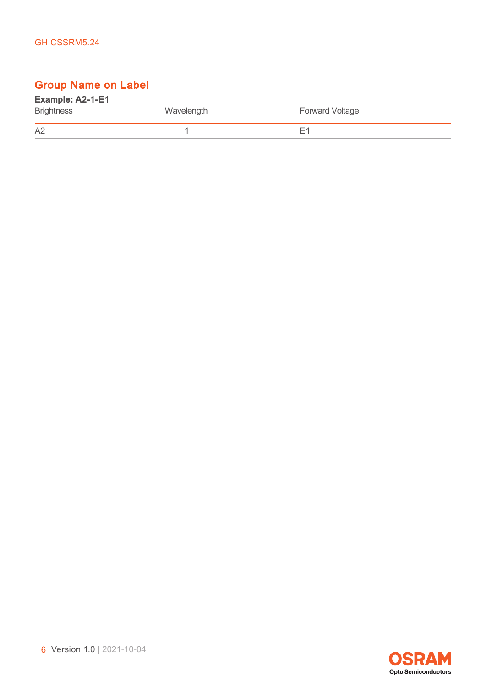## Group Name on Label

| Example: A2-1-E1  |            |                        |
|-------------------|------------|------------------------|
| <b>Brightness</b> | Wavelength | <b>Forward Voltage</b> |
| A <sub>2</sub>    |            | E1                     |

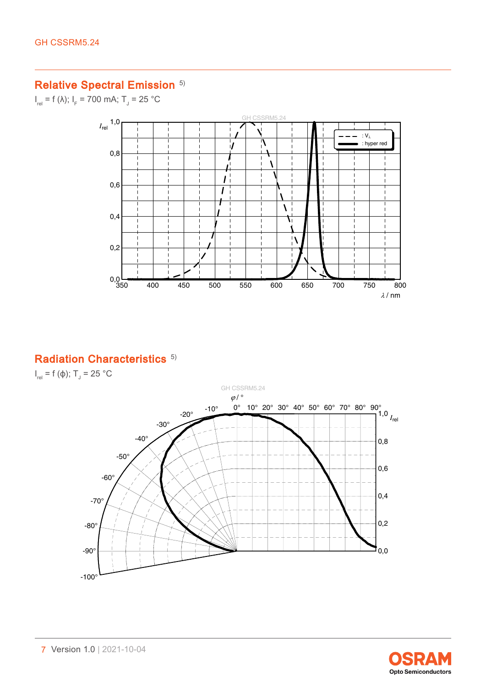#### Relative Spectral Emission<sup>[5\)](#page-18-0)</sup>

 $I_{rel}$  = f (λ);  $I_{F}$  = 700 mA; T<sub>J</sub> = 25 °C



#### Radiation Characteristics<sup>[5\)](#page-18-0)</sup>

 $I_{rel}$  = f (φ); T<sub>J</sub> = 25 °C



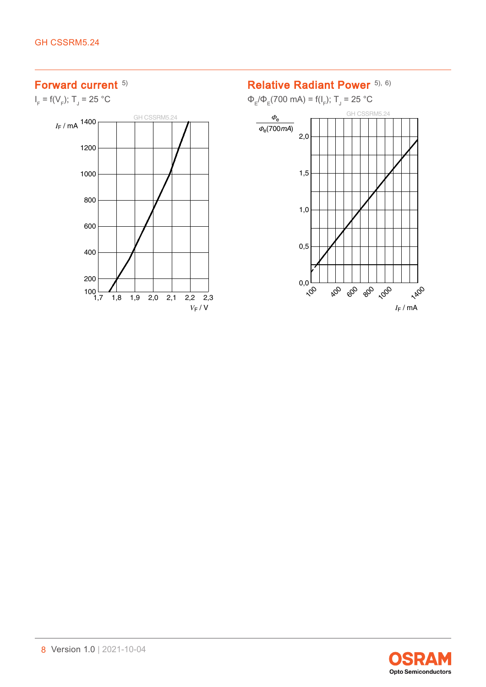#### Forward current [5\)](#page-18-0)

 $I_F = f(V_F)$ ; T<sub>J</sub> = 25 °C



#### Relative Radiant Power [5\),](#page-18-0) [6\)](#page-18-0)

 $Φ<sub>E</sub>/Φ<sub>E</sub>(700 mA) = f(I<sub>F</sub>); T<sub>J</sub> = 25 °C$ 



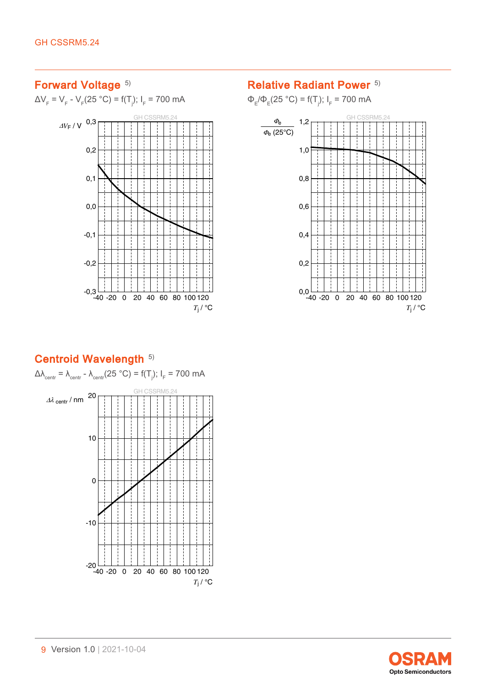### Forward Voltage [5\)](#page-18-0)

ΔV<sub>F</sub> = V<sub>F</sub> - V<sub>F</sub>(25 °C) = f(T<sub>j</sub>); I<sub>F</sub> = 700 mA



### Relative Radiant Power<sup>[5\)](#page-18-0)</sup>

 $\Phi_{\rm E}/\Phi_{\rm E}$ (25 °C) = f(T<sub>j</sub>); l<sub>F</sub> = 700 mA



### Centroid Wavelength [5\)](#page-18-0)

Δλ $_{\rm centr}$  = λ $_{\rm centr}$  - λ $_{\rm centr}$ (25 °C) = f(T<sub>j</sub>); I<sub>F</sub> = 700 mA GH CSSRM5.24 -40 -20 0 20 40 60 80 100 120 -20 *T*<sup>j</sup> / °C -10 0 10  $\Delta\lambda$  centr / nm  $20$ ÷.

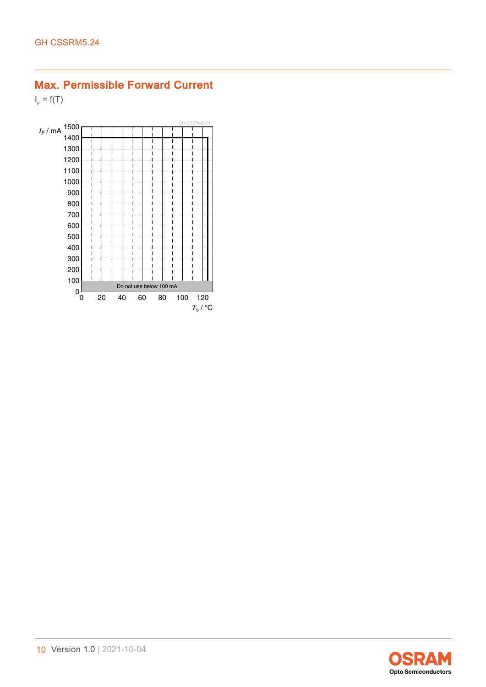### Max. Permissible Forward Current

 $I_F = f(T)$ 



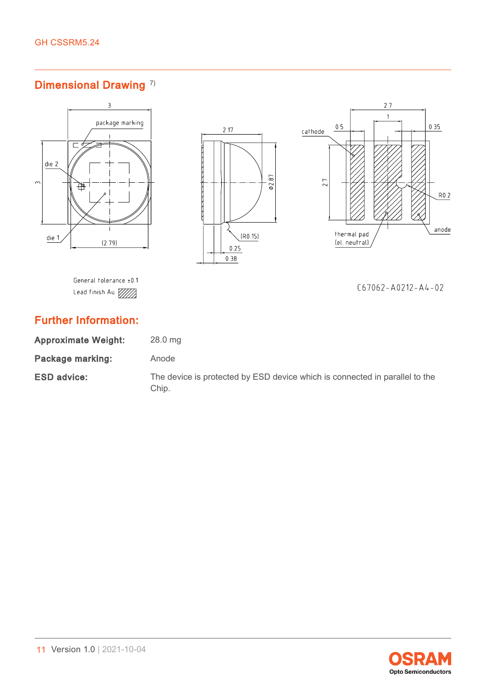## Dimensional Drawing<sup>[7\)](#page-18-0)</sup>



Package marking: Anode

ESD advice: The device is protected by ESD device which is connected in parallel to the Chip.

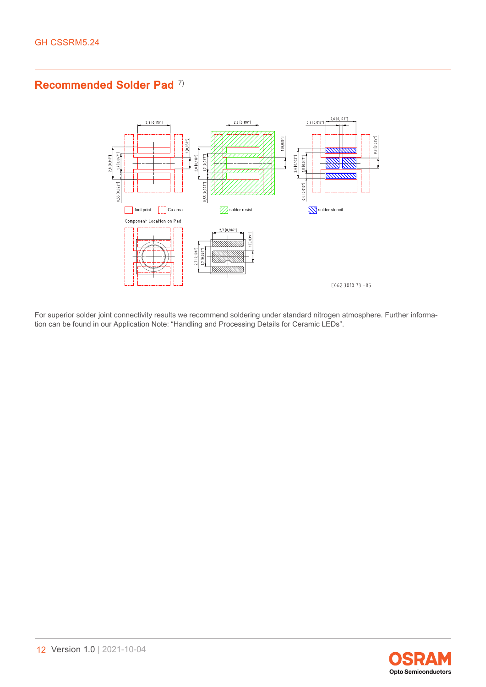### Recommended Solder Pad<sup>[7\)](#page-18-0)</sup>



For superior solder joint connectivity results we recommend soldering under standard nitrogen atmosphere. Further information can be found in our Application Note: "Handling and Processing Details for Ceramic LEDs".

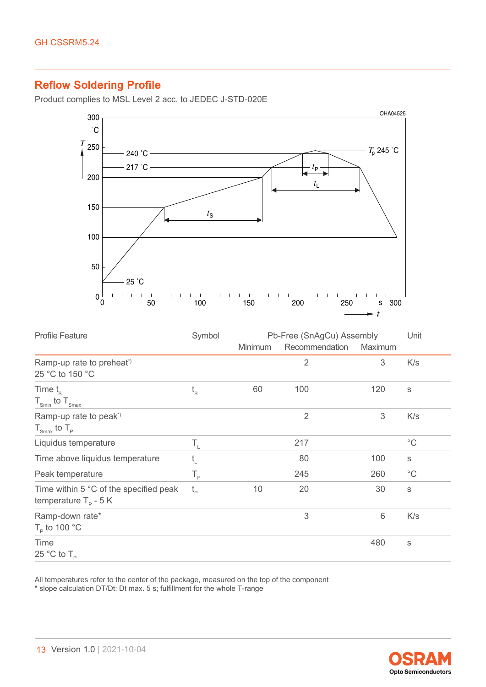### Reflow Soldering Profile

Product complies to MSL Level 2 acc. to JEDEC J-STD-020E



| <b>Profile Feature</b>                                                   | Symbol                                      |         | Pb-Free (SnAgCu) Assembly |         |              |
|--------------------------------------------------------------------------|---------------------------------------------|---------|---------------------------|---------|--------------|
|                                                                          |                                             | Minimum | Recommendation            | Maximum |              |
| Ramp-up rate to preheat <sup>*</sup><br>25 °C to 150 °C                  |                                             |         | $\overline{2}$            | 3       | K/s          |
| Time $t_{\rm s}$<br>$T_{\text{Smin}}$ to $T_{\text{Smax}}$               | $t_{\rm s}$                                 | 60      | 100                       | 120     | S            |
| Ramp-up rate to peak <sup>*</sup><br>$T_{\text{Smax}}$ to $T_{\text{P}}$ |                                             |         | $\overline{2}$            | 3       | K/s          |
| Liquidus temperature                                                     | T,                                          |         | 217                       |         | $^{\circ}$ C |
| Time above liquidus temperature                                          | $t_{L}$                                     |         | 80                        | 100     | $\mathbb S$  |
| Peak temperature                                                         | $\mathsf{T}_{\scriptscriptstyle\mathsf{P}}$ |         | 245                       | 260     | $^{\circ}$ C |
| Time within 5 °C of the specified peak<br>temperature $T_p - 5K$         | $t_{p}$                                     | 10      | 20                        | 30      | $\mathbb S$  |
| Ramp-down rate*<br>$T_{\rm p}$ to 100 °C                                 |                                             |         | 3                         | 6       | K/s          |
| Time<br>25 °C to $T_{\rm p}$                                             |                                             |         |                           | 480     | S            |

All temperatures refer to the center of the package, measured on the top of the component \* slope calculation DT/Dt: Dt max. 5 s; fulfillment for the whole T-range

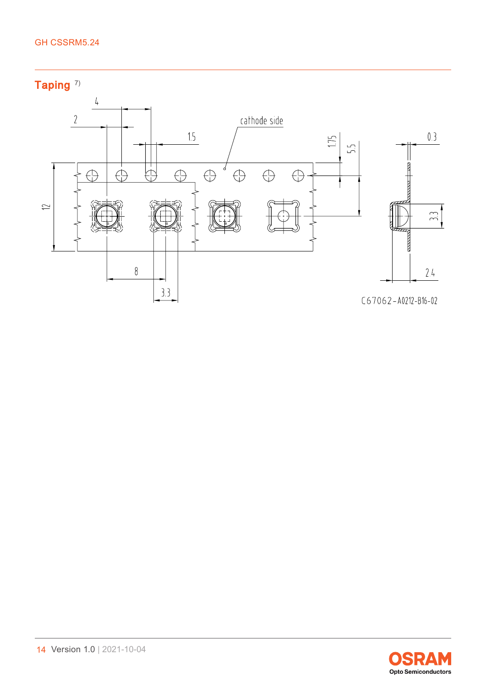#### GH CSSRM5.24

Taping<sup>[7\)](#page-18-0)</sup>



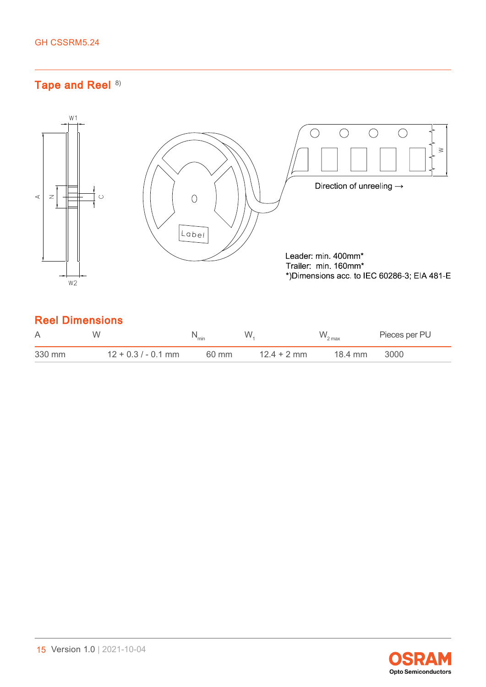### Tape and Reel [8\)](#page-18-0)



### Reel Dimensions

| A      | W                     | "min  | W             |         | Pieces per PU |
|--------|-----------------------|-------|---------------|---------|---------------|
| 330 mm | $12 + 0.3 / - 0.1$ mm | 60 mm | $12.4 + 2$ mm | 18.4 mm | 3000          |

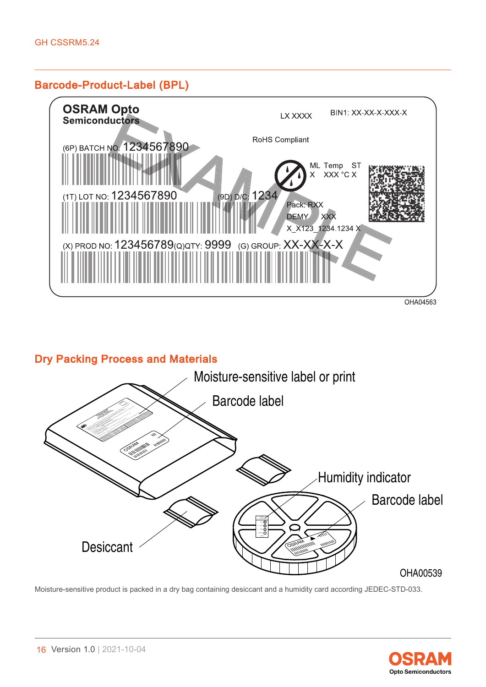#### Barcode-Product-Label (BPL)



#### Dry Packing Process and Materials



Moisture-sensitive product is packed in a dry bag containing desiccant and a humidity card according JEDEC-STD-033.

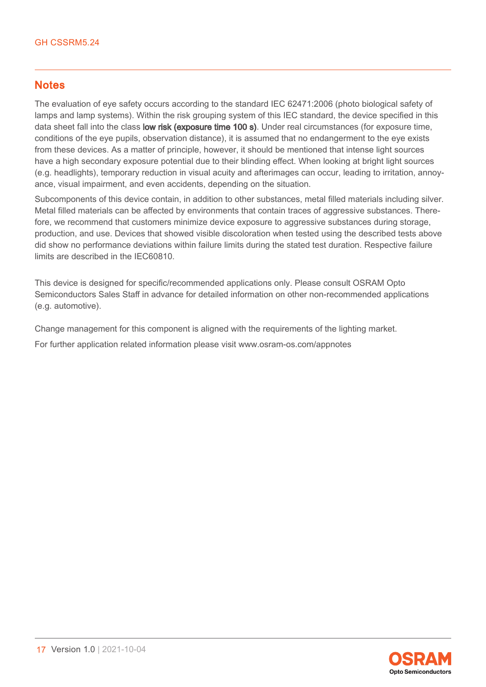#### **Notes**

The evaluation of eye safety occurs according to the standard IEC 62471:2006 (photo biological safety of lamps and lamp systems). Within the risk grouping system of this IEC standard, the device specified in this data sheet fall into the class low risk (exposure time 100 s). Under real circumstances (for exposure time, conditions of the eye pupils, observation distance), it is assumed that no endangerment to the eye exists from these devices. As a matter of principle, however, it should be mentioned that intense light sources have a high secondary exposure potential due to their blinding effect. When looking at bright light sources (e.g. headlights), temporary reduction in visual acuity and afterimages can occur, leading to irritation, annoyance, visual impairment, and even accidents, depending on the situation.

Subcomponents of this device contain, in addition to other substances, metal filled materials including silver. Metal filled materials can be affected by environments that contain traces of aggressive substances. Therefore, we recommend that customers minimize device exposure to aggressive substances during storage, production, and use. Devices that showed visible discoloration when tested using the described tests above did show no performance deviations within failure limits during the stated test duration. Respective failure limits are described in the IEC60810.

This device is designed for specific/recommended applications only. Please consult OSRAM Opto Semiconductors Sales Staff in advance for detailed information on other non-recommended applications (e.g. automotive).

Change management for this component is aligned with the requirements of the lighting market.

For further application related information please visit www.osram-os.com/appnotes

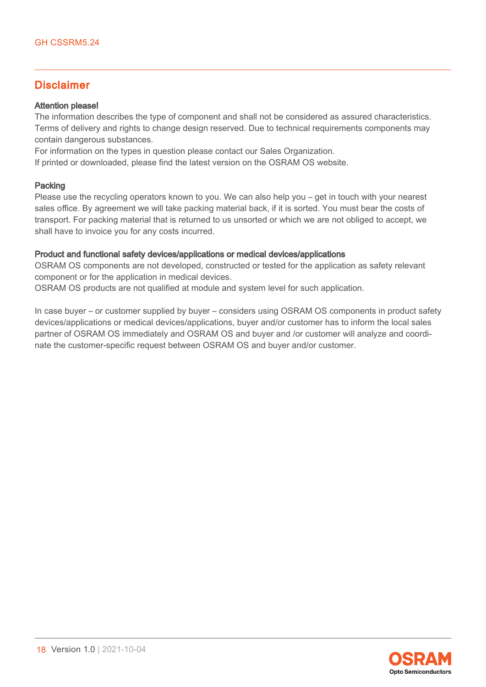#### Disclaimer

#### Attention please!

The information describes the type of component and shall not be considered as assured characteristics. Terms of delivery and rights to change design reserved. Due to technical requirements components may contain dangerous substances.

For information on the types in question please contact our Sales Organization.

If printed or downloaded, please find the latest version on the OSRAM OS website.

#### Packing

Please use the recycling operators known to you. We can also help you – get in touch with your nearest sales office. By agreement we will take packing material back, if it is sorted. You must bear the costs of transport. For packing material that is returned to us unsorted or which we are not obliged to accept, we shall have to invoice you for any costs incurred.

#### Product and functional safety devices/applications or medical devices/applications

OSRAM OS components are not developed, constructed or tested for the application as safety relevant component or for the application in medical devices.

OSRAM OS products are not qualified at module and system level for such application.

In case buyer – or customer supplied by buyer – considers using OSRAM OS components in product safety devices/applications or medical devices/applications, buyer and/or customer has to inform the local sales partner of OSRAM OS immediately and OSRAM OS and buyer and /or customer will analyze and coordinate the customer-specific request between OSRAM OS and buyer and/or customer.

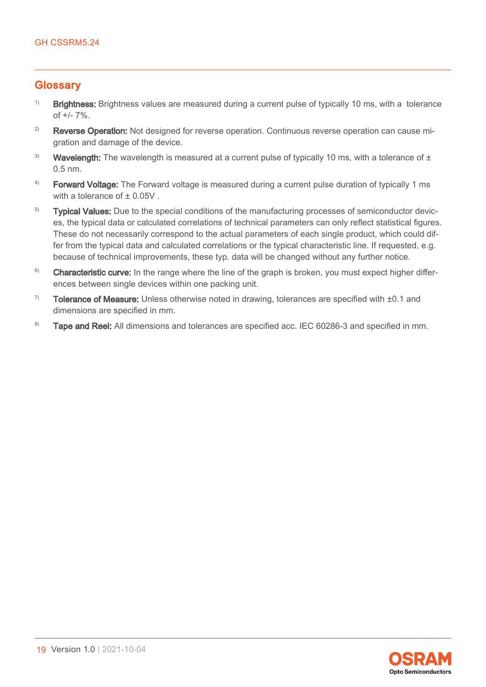#### <span id="page-18-0"></span>**Glossarv**

- $1)$  Brightness: Brightness values are measured during a current pulse of typically 10 ms, with a tolerance of +/- 7%.
- <sup>2)</sup> Reverse Operation: Not designed for reverse operation. Continuous reverse operation can cause migration and damage of the device.
- <sup>3)</sup> Wavelength: The wavelength is measured at a current pulse of typically 10 ms, with a tolerance of  $\pm$ 0.5 nm.
- $4)$  Forward Voltage: The Forward voltage is measured during a current pulse duration of typically 1 ms with a tolerance of  $\pm$  0.05V.
- <sup>5)</sup> Typical Values: Due to the special conditions of the manufacturing processes of semiconductor devices, the typical data or calculated correlations of technical parameters can only reflect statistical figures. These do not necessarily correspond to the actual parameters of each single product, which could differ from the typical data and calculated correlations or the typical characteristic line. If requested, e.g. because of technical improvements, these typ. data will be changed without any further notice.
- <sup>6)</sup> Characteristic curve: In the range where the line of the graph is broken, you must expect higher differences between single devices within one packing unit.
- $7$  Tolerance of Measure: Unless otherwise noted in drawing, tolerances are specified with  $\pm 0.1$  and dimensions are specified in mm.
- 8) Tape and Reel: All dimensions and tolerances are specified acc. IEC 60286-3 and specified in mm.

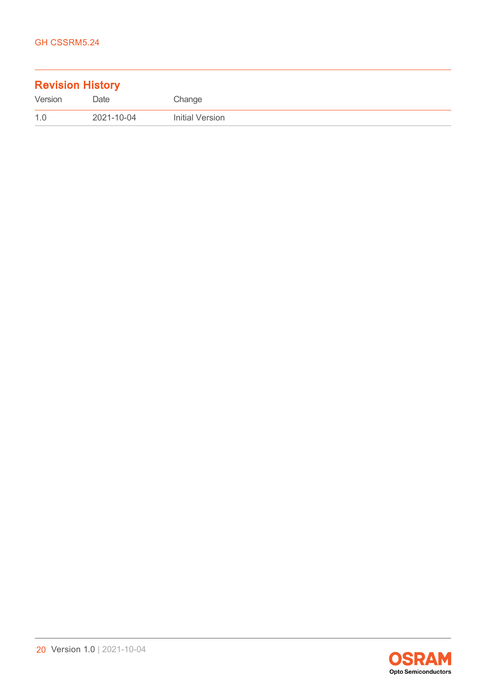| <b>Revision History</b> |            |                 |
|-------------------------|------------|-----------------|
| Version                 | Date       | Change          |
| 1.0                     | 2021-10-04 | Initial Version |